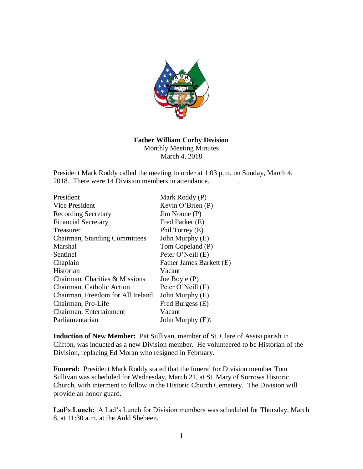

## **Father William Corby Division** Monthly Meeting Minutes

March 4, 2018

President Mark Roddy called the meeting to order at 1:03 p.m. on Sunday, March 4, 2018. There were 14 Division members in attendance. .

| President                         | Mark Roddy (P)           |
|-----------------------------------|--------------------------|
| Vice President                    | Kevin O'Brien $(P)$      |
| <b>Recording Secretary</b>        | $Jim$ Noone $(P)$        |
| <b>Financial Secretary</b>        | Fred Parker (E)          |
| Treasurer                         | Phil Torrey (E)          |
| Chairman, Standing Committees     | John Murphy (E)          |
| Marshal                           | Tom Copeland (P)         |
| Sentinel                          | Peter O'Neill (E)        |
| Chaplain                          | Father James Barkett (E) |
| Historian                         | Vacant                   |
| Chairman, Charities & Missions    | Joe Boyle $(P)$          |
| Chairman, Catholic Action         | Peter O'Neill (E)        |
| Chairman, Freedom for All Ireland | John Murphy (E)          |
| Chairman, Pro-Life                | Fred Burgess (E)         |
| Chairman, Entertainment           | Vacant                   |
| Parliamentarian                   | John Murphy $(E)$        |

**Induction of New Member:** Pat Sullivan, member of St. Clare of Assisi parish in Clifton, was inducted as a new Division member. He volunteered to be Historian of the Division, replacing Ed Moran who resigned in February.

**Funeral:** President Mark Roddy stated that the funeral for Division member Tom Sullivan was scheduled for Wednesday, March 21, at St. Mary of Sorrows Historic Church, with interment to follow in the Historic Church Cemetery. The Division will provide an honor guard.

**Lad's Lunch:** A Lad's Lunch for Division members was scheduled for Thursday, March 8, at 11:30 a.m. at the Auld Shebeen.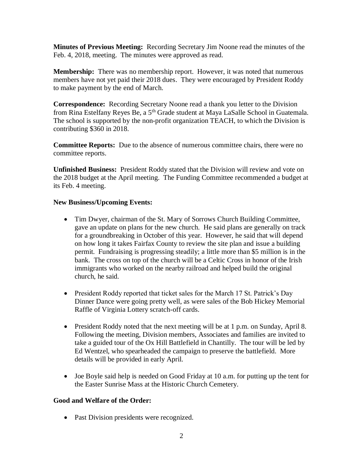**Minutes of Previous Meeting:** Recording Secretary Jim Noone read the minutes of the Feb. 4, 2018, meeting. The minutes were approved as read.

**Membership:** There was no membership report. However, it was noted that numerous members have not yet paid their 2018 dues. They were encouraged by President Roddy to make payment by the end of March.

**Correspondence:** Recording Secretary Noone read a thank you letter to the Division from Rina Estelfany Reyes Be, a 5th Grade student at Maya LaSalle School in Guatemala. The school is supported by the non-profit organization TEACH, to which the Division is contributing \$360 in 2018.

**Committee Reports:** Due to the absence of numerous committee chairs, there were no committee reports.

**Unfinished Business:** President Roddy stated that the Division will review and vote on the 2018 budget at the April meeting. The Funding Committee recommended a budget at its Feb. 4 meeting.

## **New Business/Upcoming Events:**

- Tim Dwyer, chairman of the St. Mary of Sorrows Church Building Committee, gave an update on plans for the new church. He said plans are generally on track for a groundbreaking in October of this year. However, he said that will depend on how long it takes Fairfax County to review the site plan and issue a building permit. Fundraising is progressing steadily; a little more than \$5 million is in the bank. The cross on top of the church will be a Celtic Cross in honor of the Irish immigrants who worked on the nearby railroad and helped build the original church, he said.
- President Roddy reported that ticket sales for the March 17 St. Patrick's Day Dinner Dance were going pretty well, as were sales of the Bob Hickey Memorial Raffle of Virginia Lottery scratch-off cards.
- President Roddy noted that the next meeting will be at 1 p.m. on Sunday, April 8. Following the meeting, Division members, Associates and families are invited to take a guided tour of the Ox Hill Battlefield in Chantilly. The tour will be led by Ed Wentzel, who spearheaded the campaign to preserve the battlefield. More details will be provided in early April.
- Joe Boyle said help is needed on Good Friday at 10 a.m. for putting up the tent for the Easter Sunrise Mass at the Historic Church Cemetery.

## **Good and Welfare of the Order:**

• Past Division presidents were recognized.